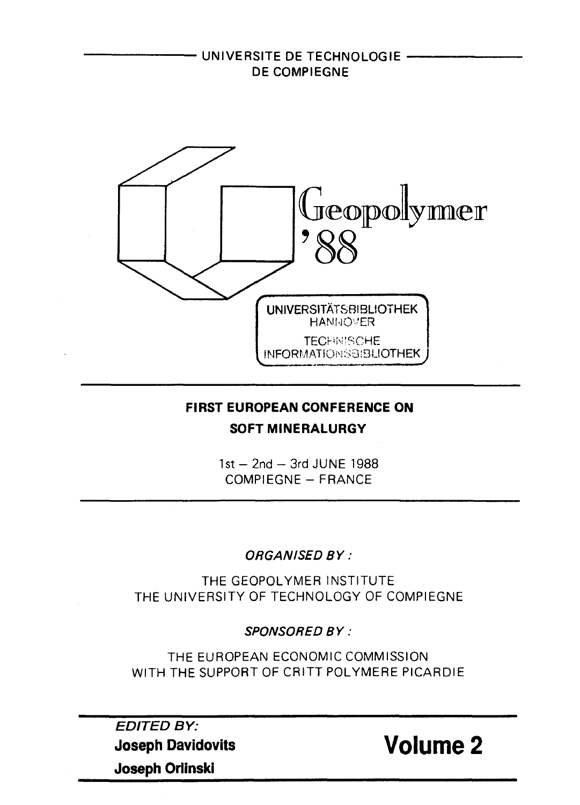

# **FIRST EUROPEAN CONFERENCE ON SOFTMINERALURGY**

 $1st-2nd-3rd$  JUNE 1988 COMPIEGNE- FRANCE

ORGANISED BY:

THE GEOPOLYMER INSTITUTE THE UNIVERSITY OF TECHNOLOGY OF COMPIEGNE

SPONSORED BY:

THE EUROPEAN ECONOMIC COMMISSION WITH THE SUPPORT OF CRITT POLYMERE PICARDIE

EDITED BY: **Joseph Davidovits Joseph Orlinski**

**Volume 2**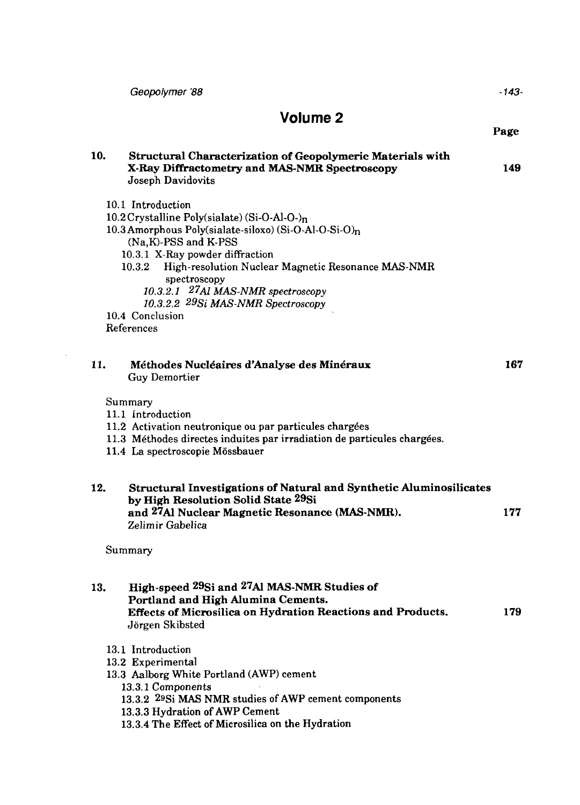|                             | Geopolymer '88                                                                                                                                                                                                                                                                                                                                                                     | -143- |  |  |
|-----------------------------|------------------------------------------------------------------------------------------------------------------------------------------------------------------------------------------------------------------------------------------------------------------------------------------------------------------------------------------------------------------------------------|-------|--|--|
| Volume <sub>2</sub><br>Page |                                                                                                                                                                                                                                                                                                                                                                                    |       |  |  |
| 10.                         | Structural Characterization of Geopolymeric Materials with<br>X-Ray Diffractometry and MAS-NMR Spectroscopy<br>Joseph Davidovits                                                                                                                                                                                                                                                   | 149   |  |  |
|                             | 10.1 Introduction<br>10.2 Crystalline Poly(sialate) (Si-O-Al-O-)n<br>10.3 Amorphous Poly(sialate-siloxo) (Si-O-Al-O-Si-O)n<br>(Na,K)-PSS and K-PSS<br>10.3.1 X-Ray powder diffraction<br>High-resolution Nuclear Magnetic Resonance MAS-NMR<br>10.3.2<br>spectroscopy<br>10.3.2.1 27Al MAS-NMR spectroscopy<br>10.3.2.2 29Si MAS-NMR Spectroscopy<br>10.4 Conclusion<br>References |       |  |  |
| 11.                         | Méthodes Nucléaires d'Analyse des Minéraux<br>Guy Demortier                                                                                                                                                                                                                                                                                                                        | 167   |  |  |
|                             | Summary<br>11.1 Introduction<br>11.2 Activation neutronique ou par particules chargées<br>11.3 Méthodes directes induites par irradiation de particules chargées.<br>11.4 La spectroscopie Mössbauer                                                                                                                                                                               |       |  |  |
| 12.                         | Structural Investigations of Natural and Synthetic Aluminosilicates<br>by High Resolution Solid State 29Si<br>and 27Al Nuclear Magnetic Resonance (MAS-NMR).<br>Zelimir Gabelica                                                                                                                                                                                                   | 177   |  |  |
|                             | Summary                                                                                                                                                                                                                                                                                                                                                                            |       |  |  |
| 13.                         | High-speed 29Si and 27Al MAS-NMR Studies of<br>Portland and High Alumina Cements.<br><b>Effects of Microsilica on Hydration Reactions and Products.</b><br>Jörgen Skibsted                                                                                                                                                                                                         | 179   |  |  |
|                             | 13.1 Introduction<br>13.2 Experimental<br>13.3 Aalborg White Portland (AWP) cement<br>13.3.1 Components<br>13.3.2 <sup>29</sup> Si MAS NMR studies of AWP cement components<br>13.3.3 Hydration of AWP Cement<br>13.3.4 The Effect of Microsilica on the Hydration                                                                                                                 |       |  |  |

 $\sim$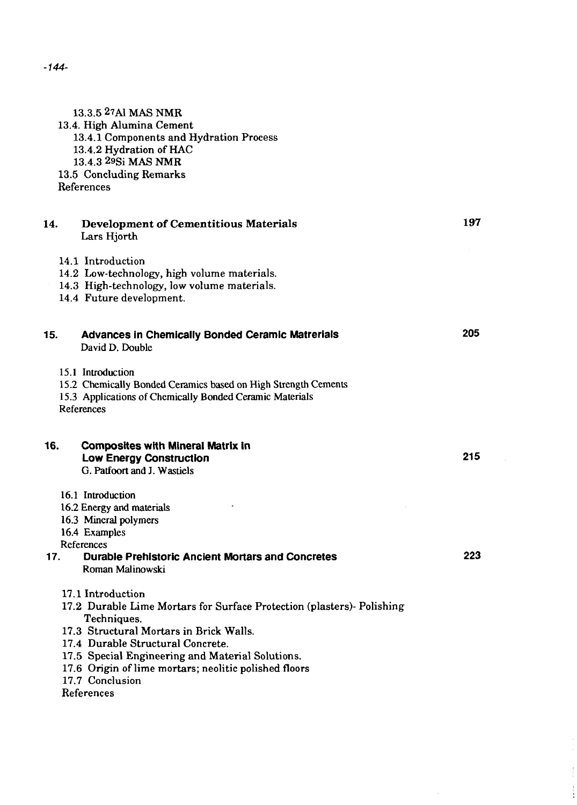13.3.5 27A1 MAS NMR 13.4. High Alumina Cement 13.4.1 Components and Hydration Process 13.4.2 Hydration of HAC 13.4.3 29Si MAS NMR 13.5 Concluding Remarks References **14. Development of Cementitious Materials 197** Lars Hjorth 14.1 Introduction 14.2 Low-technology, high volume materials. 14.3 High-technology, low volume materials. 14.4 Future development. **15. Advances in Chemically Bonded Ceramic Matrerials 205** David D. Double 15.1 Introduction 15.2 Chemically Bonded Ceramics based on High Strength Cements 15.3 Applications of Chemically Bonded Ceramic Materials References **16. Composites with Mineral Matrix in Low Energy Construction 215** G. Patfoort and J. Wastiels 16.1 Introduction 16.2 Energy and materials 16.3 Mineral polymers 16.4 Examples References **17. Durable Prehistoric Ancient Mortars and Concretes 223 Roman Malinowski** 17.1 Introduction 17.2 Durable Lime Mortars for Surface Protection (plasters)- Polishing Techniques. 17.3 Structural Mortars in Brick Walls. 17.4 Durable Structural Concrete. 17.5 Special Engineering and Material Solutions. 17.6 Origin of lime mortars; neolitic polished floors 17.7 Conclusion References

*-144-*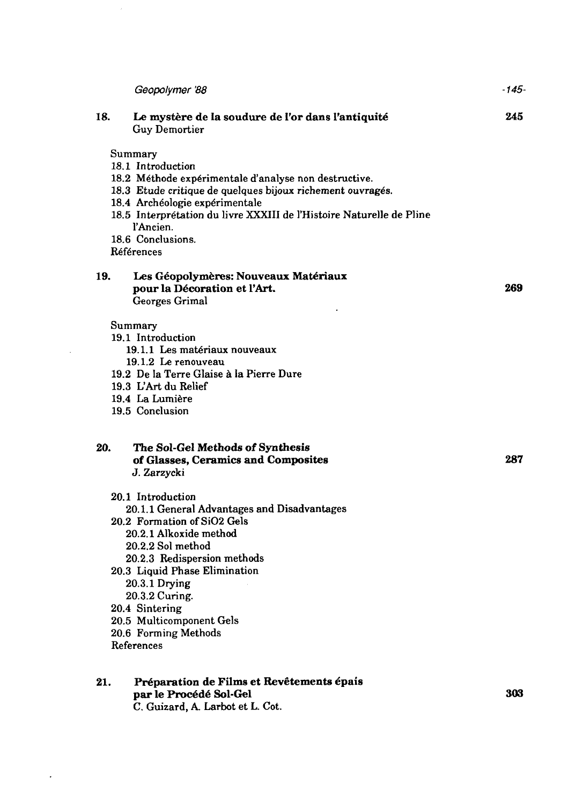|     | Geopolymer '88                                                       | -145- |
|-----|----------------------------------------------------------------------|-------|
| 18. | Le mystère de la soudure de l'or dans l'antiquité<br>Guy Demortier   | 245   |
|     | Summary                                                              |       |
|     | 18.1 Introduction                                                    |       |
|     | 18.2 Méthode expérimentale d'analyse non destructive.                |       |
|     | 18.3 Etude critique de quelques bijoux richement ouvragés.           |       |
|     | 18.4 Archéologie expérimentale                                       |       |
|     | 18.5 Interprétation du livre XXXIII de l'Histoire Naturelle de Pline |       |
|     | l'Ancien.                                                            |       |
|     | 18.6 Conclusions.                                                    |       |
|     | Références                                                           |       |
| 19. | Les Géopolymères: Nouveaux Matériaux                                 |       |
|     | pour la Décoration et l'Art.                                         | 269   |
|     | Georges Grimal                                                       |       |
|     | Summary                                                              |       |
|     | 19.1 Introduction                                                    |       |
|     | 19.1.1 Les matériaux nouveaux                                        |       |
|     | 19.1.2 Le renouveau                                                  |       |
|     | 19.2 De la Terre Glaise à la Pierre Dure                             |       |
|     | 19.3 L'Art du Relief                                                 |       |
|     | 19.4 La Lumière                                                      |       |
|     | 19.5 Conclusion                                                      |       |
| 20. | The Sol-Gel Methods of Synthesis                                     |       |
|     | of Glasses, Ceramics and Composites                                  | 287   |
|     | J. Zarzycki                                                          |       |
|     | 20.1 Introduction                                                    |       |
|     | 20.1.1 General Advantages and Disadvantages                          |       |
|     | 20.2 Formation of SiO2 Gels                                          |       |
|     | 20.2.1 Alkoxide method                                               |       |
|     | 20.2.2 Sol method                                                    |       |
|     | 20.2.3 Redispersion methods                                          |       |
|     | 20.3 Liquid Phase Elimination                                        |       |
|     | 20.3.1 Drying                                                        |       |
|     | 20.3.2 Curing.                                                       |       |
|     | 20.4 Sintering                                                       |       |
|     | 20.5 Multicomponent Gels                                             |       |
|     | 20.6 Forming Methods                                                 |       |
|     | References                                                           |       |
| 21. | Préparation de Films et Revêtements épais                            |       |
|     | par le Procédé Sol-Gel                                               | 303   |
|     | C. Guizard, A. Larbot et L. Cot.                                     |       |
|     |                                                                      |       |

 $\mathcal{L}^{\text{max}}_{\text{max}}$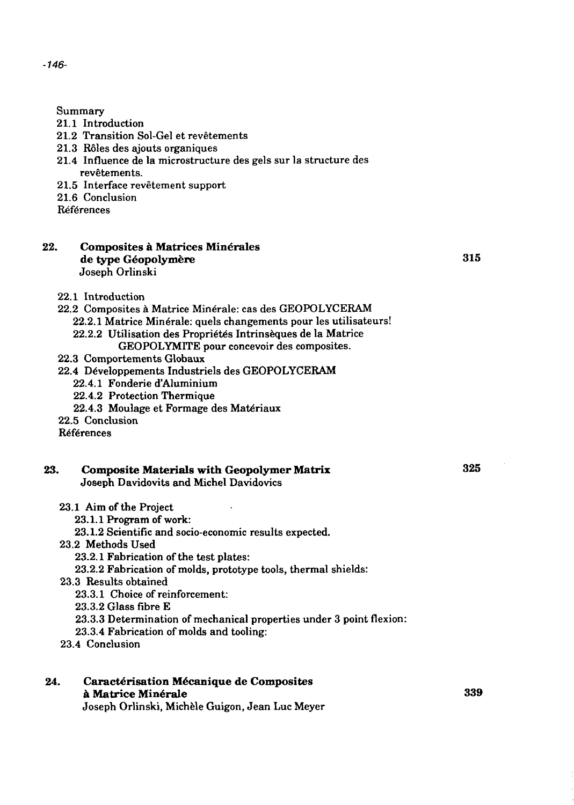Summary

- 21.1 Introduction
- 21.2 Transition Sol-Gel et revêtements
- 21.3 Rôles des ajouts organiques
- 21.4 Influence de la microstructure des gels sur la structure des revêtements.
- 21.5 Interface revetement support
- 21.6 Conclusion
- **Références**

#### **22. Composites a Matrices Minerales de type Geopolymere 315** Joseph Orlinski

22.1 Introduction

#### 22.2 Composites a Matrice Minerale: cas des GEOPOLYCERAM 22.2.1 Matrice Minérale: quels changements pour les utilisateurs! 22.2.2 Utilisation des Propriétés Intrinsèques de la Matrice GEOPOLYMITE pour concevoir des composites.

- 22.3 Comportements Globaux
- 22.4 Developpements Industries des GEOPOLYCERAM
	- *22A.I* Fonderie d'Aluminium
	- 22.4.2 Protection Thermique
	- 22.4.3 Moulage et Formage des Materiaux
- 22.5 Conclusion
- **Références**

## **23. Composite Materials with Geopolymer Matrix 325** Joseph Davidovits and Michel Davidovics

- 23.1 Aim of the Project
	- 23.1.1 Program of work:
	- 23.1.2 Scientific and socio-economic results expected.
- 23.2 Methods Used
	- 23.2.1 Fabrication of the test plates:
	- 23.2.2 Fabrication of molds, prototype tools, thermal shields:
- 23.3 Results obtained
	- 23.3.1 Choice of reinforcement:
	- 23.3.2 Glass fibre E
	- 23.3.3 Determination of mechanical properties under 3 point flexion:
	- 23.3.4 Fabrication of molds and tooling:
- 23.4 Conclusion
- 24. Caractérisation Mécanique de Composites **a Matrice Minerale 339**

Joseph Orlinski, Michele Guigon, Jean Luc Meyer

-746-